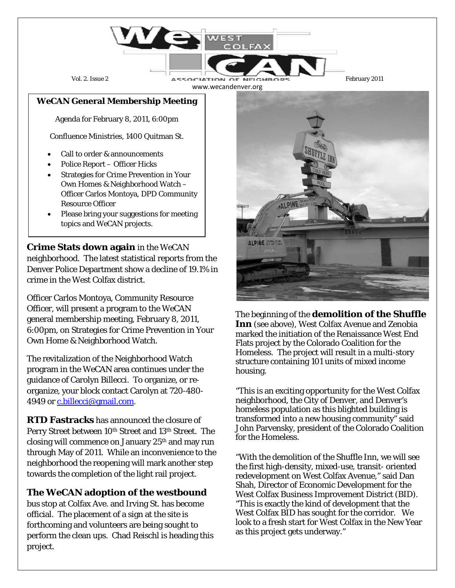

## *WeCAN* **General Membership Meeting**

Agenda for February 8, 2011, 6:00pm

Confluence Ministries, 1400 Quitman St.

- Call to order & announcements
- Police Report Officer Hicks
- Strategies for Crime Prevention in Your Own Homes & Neighborhood Watch – Officer Carlos Montoya, DPD Community Resource Officer
- Please bring your suggestions for meeting topics and *WeCAN* projects.

**Crime Stats down again** in the *WeCAN* neighborhood. The latest statistical reports from the Denver Police Department show a decline of 19.1% in crime in the West Colfax district.

Officer Carlos Montoya, Community Resource Officer, will present a program to the WeCAN general membership meeting, February 8, 2011, 6:00pm, on Strategies for Crime Prevention in Your Own Home & Neighborhood Watch.

The revitalization of the Neighborhood Watch program in the WeCAN area continues under the guidance of Carolyn Billecci. To organize, or reorganize, your block contact Carolyn at 720-480- 4949 o[r c.billecci@gmail.com.](mailto:c.billecci@gmail.com)

**RTD Fastracks** has announced the closure of Perry Street between 10<sup>th</sup> Street and 13<sup>th</sup> Street. The closing will commence on January 25th and may run through May of 2011. While an inconvenience to the neighborhood the reopening will mark another step towards the completion of the light rail project.

## **The WeCAN adoption of the westbound**

bus stop at Colfax Ave. and Irving St. has become official. The placement of a sign at the site is forthcoming and volunteers are being sought to perform the clean ups. Chad Reischl is heading this project.



The beginning of the **demolition of the Shuffle Inn** (see above), West Colfax Avenue and Zenobia marked the initiation of the Renaissance West End Flats project by the Colorado Coalition for the Homeless. The project will result in a multi-story structure containing 101 units of mixed income housing.

"This is an exciting opportunity for the West Colfax neighborhood, the City of Denver, and Denver's homeless population as this blighted building is transformed into a new housing community" said John Parvensky, president of the Colorado Coalition for the Homeless.

"With the demolition of the Shuffle Inn, we will see the first high-density, mixed-use, transit- oriented redevelopment on West Colfax Avenue," said Dan Shah, Director of Economic Development for the West Colfax Business Improvement District (BID). "This is exactly the kind of development that the West Colfax BID has sought for the corridor. We look to a fresh start for West Colfax in the New Year as this project gets underway."